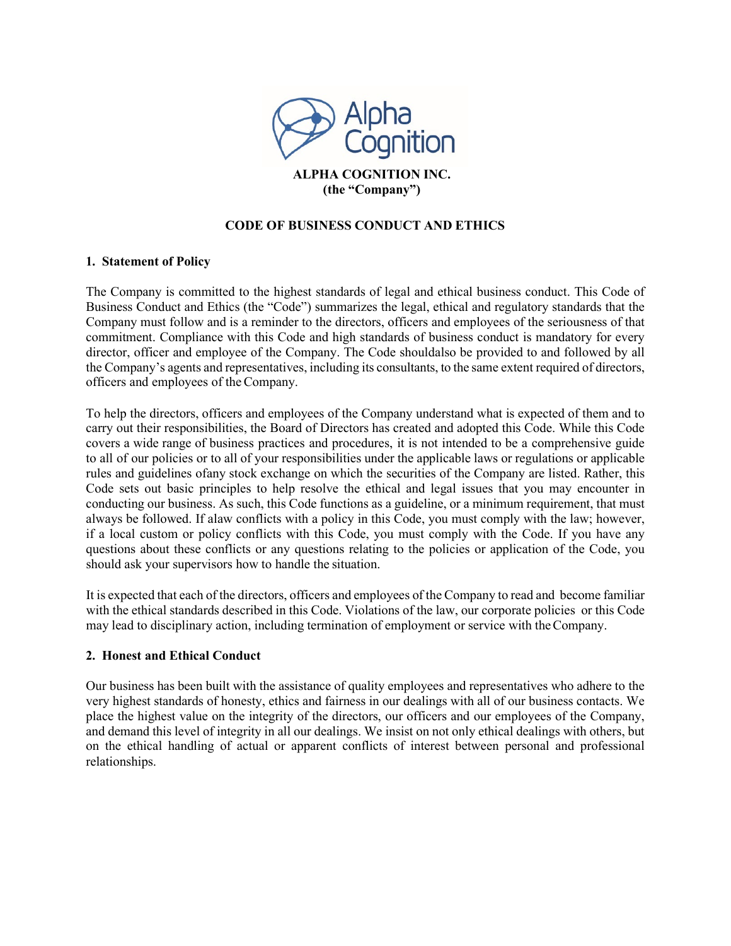

# **CODE OF BUSINESS CONDUCT AND ETHICS**

### **1. Statement of Policy**

The Company is committed to the highest standards of legal and ethical business conduct. This Code of Business Conduct and Ethics (the "Code") summarizes the legal, ethical and regulatory standards that the Company must follow and is a reminder to the directors, officers and employees of the seriousness of that commitment. Compliance with this Code and high standards of business conduct is mandatory for every director, officer and employee of the Company. The Code shouldalso be provided to and followed by all the Company's agents and representatives, including its consultants, to the same extent required of directors, officers and employees of theCompany.

To help the directors, officers and employees of the Company understand what is expected of them and to carry out their responsibilities, the Board of Directors has created and adopted this Code. While this Code covers a wide range of business practices and procedures, it is not intended to be a comprehensive guide to all of our policies or to all of your responsibilities under the applicable laws or regulations or applicable rules and guidelines ofany stock exchange on which the securities of the Company are listed. Rather, this Code sets out basic principles to help resolve the ethical and legal issues that you may encounter in conducting our business. As such, this Code functions as a guideline, or a minimum requirement, that must always be followed. If alaw conflicts with a policy in this Code, you must comply with the law; however, if a local custom or policy conflicts with this Code, you must comply with the Code. If you have any questions about these conflicts or any questions relating to the policies or application of the Code, you should ask your supervisors how to handle the situation.

It is expected that each of the directors, officers and employees of the Company to read and become familiar with the ethical standards described in this Code. Violations of the law, our corporate policies or this Code may lead to disciplinary action, including termination of employment or service with theCompany.

### **2. Honest and Ethical Conduct**

Our business has been built with the assistance of quality employees and representatives who adhere to the very highest standards of honesty, ethics and fairness in our dealings with all of our business contacts. We place the highest value on the integrity of the directors, our officers and our employees of the Company, and demand this level of integrity in all our dealings. We insist on not only ethical dealings with others, but on the ethical handling of actual or apparent conflicts of interest between personal and professional relationships.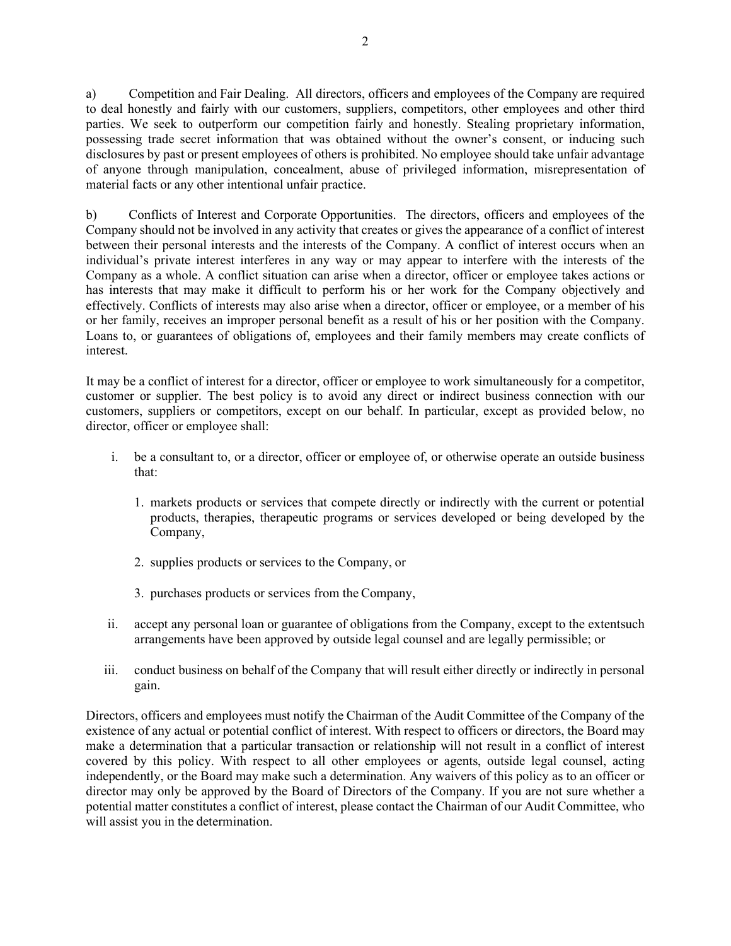a) Competition and Fair Dealing. All directors, officers and employees of the Company are required to deal honestly and fairly with our customers, suppliers, competitors, other employees and other third parties. We seek to outperform our competition fairly and honestly. Stealing proprietary information, possessing trade secret information that was obtained without the owner's consent, or inducing such disclosures by past or present employees of others is prohibited. No employee should take unfair advantage of anyone through manipulation, concealment, abuse of privileged information, misrepresentation of material facts or any other intentional unfair practice.

b) Conflicts of Interest and Corporate Opportunities. The directors, officers and employees of the Company should not be involved in any activity that creates or gives the appearance of a conflict of interest between their personal interests and the interests of the Company. A conflict of interest occurs when an individual's private interest interferes in any way or may appear to interfere with the interests of the Company as a whole. A conflict situation can arise when a director, officer or employee takes actions or has interests that may make it difficult to perform his or her work for the Company objectively and effectively. Conflicts of interests may also arise when a director, officer or employee, or a member of his or her family, receives an improper personal benefit as a result of his or her position with the Company. Loans to, or guarantees of obligations of, employees and their family members may create conflicts of interest.

It may be a conflict of interest for a director, officer or employee to work simultaneously for a competitor, customer or supplier. The best policy is to avoid any direct or indirect business connection with our customers, suppliers or competitors, except on our behalf. In particular, except as provided below, no director, officer or employee shall:

- i. be a consultant to, or a director, officer or employee of, or otherwise operate an outside business that:
	- 1. markets products or services that compete directly or indirectly with the current or potential products, therapies, therapeutic programs or services developed or being developed by the Company,
	- 2. supplies products or services to the Company, or
	- 3. purchases products or services from the Company,
- ii. accept any personal loan or guarantee of obligations from the Company, except to the extentsuch arrangements have been approved by outside legal counsel and are legally permissible; or
- iii. conduct business on behalf of the Company that will result either directly or indirectly in personal gain.

Directors, officers and employees must notify the Chairman of the Audit Committee of the Company of the existence of any actual or potential conflict of interest. With respect to officers or directors, the Board may make a determination that a particular transaction or relationship will not result in a conflict of interest covered by this policy. With respect to all other employees or agents, outside legal counsel, acting independently, or the Board may make such a determination. Any waivers of this policy as to an officer or director may only be approved by the Board of Directors of the Company. If you are not sure whether a potential matter constitutes a conflict of interest, please contact the Chairman of our Audit Committee, who will assist you in the determination.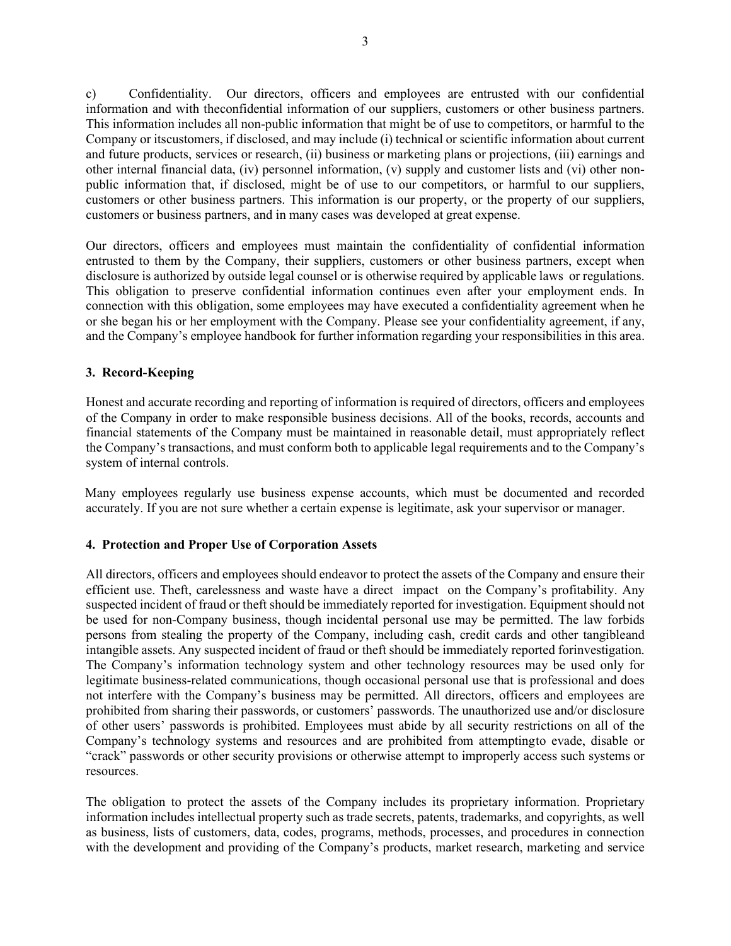c) Confidentiality. Our directors, officers and employees are entrusted with our confidential information and with theconfidential information of our suppliers, customers or other business partners. This information includes all non-public information that might be of use to competitors, or harmful to the Company or itscustomers, if disclosed, and may include (i) technical or scientific information about current and future products, services or research, (ii) business or marketing plans or projections, (iii) earnings and other internal financial data, (iv) personnel information, (v) supply and customer lists and (vi) other nonpublic information that, if disclosed, might be of use to our competitors, or harmful to our suppliers, customers or other business partners. This information is our property, or the property of our suppliers, customers or business partners, and in many cases was developed at great expense.

Our directors, officers and employees must maintain the confidentiality of confidential information entrusted to them by the Company, their suppliers, customers or other business partners, except when disclosure is authorized by outside legal counsel or is otherwise required by applicable laws or regulations. This obligation to preserve confidential information continues even after your employment ends. In connection with this obligation, some employees may have executed a confidentiality agreement when he or she began his or her employment with the Company. Please see your confidentiality agreement, if any, and the Company's employee handbook for further information regarding your responsibilities in this area.

## **3. Record-Keeping**

Honest and accurate recording and reporting of information is required of directors, officers and employees of the Company in order to make responsible business decisions. All of the books, records, accounts and financial statements of the Company must be maintained in reasonable detail, must appropriately reflect the Company's transactions, and must conform both to applicable legal requirements and to the Company's system of internal controls.

Many employees regularly use business expense accounts, which must be documented and recorded accurately. If you are not sure whether a certain expense is legitimate, ask your supervisor or manager.

### **4. Protection and Proper Use of Corporation Assets**

All directors, officers and employees should endeavor to protect the assets of the Company and ensure their efficient use. Theft, carelessness and waste have a direct impact on the Company's profitability. Any suspected incident of fraud or theft should be immediately reported for investigation. Equipment should not be used for non-Company business, though incidental personal use may be permitted. The law forbids persons from stealing the property of the Company, including cash, credit cards and other tangibleand intangible assets. Any suspected incident of fraud or theft should be immediately reported forinvestigation. The Company's information technology system and other technology resources may be used only for legitimate business-related communications, though occasional personal use that is professional and does not interfere with the Company's business may be permitted. All directors, officers and employees are prohibited from sharing their passwords, or customers' passwords. The unauthorized use and/or disclosure of other users' passwords is prohibited. Employees must abide by all security restrictions on all of the Company's technology systems and resources and are prohibited from attemptingto evade, disable or "crack" passwords or other security provisions or otherwise attempt to improperly access such systems or resources.

The obligation to protect the assets of the Company includes its proprietary information. Proprietary information includes intellectual property such as trade secrets, patents, trademarks, and copyrights, as well as business, lists of customers, data, codes, programs, methods, processes, and procedures in connection with the development and providing of the Company's products, market research, marketing and service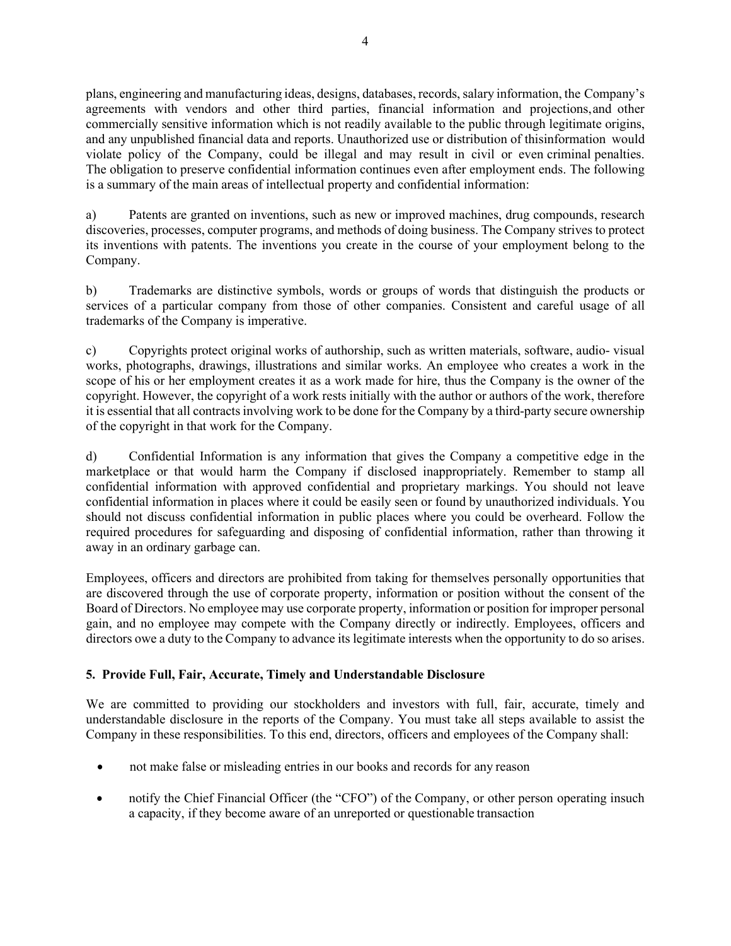plans, engineering and manufacturing ideas, designs, databases, records, salary information, the Company's agreements with vendors and other third parties, financial information and projections,and other commercially sensitive information which is not readily available to the public through legitimate origins, and any unpublished financial data and reports. Unauthorized use or distribution of thisinformation would violate policy of the Company, could be illegal and may result in civil or even criminal penalties. The obligation to preserve confidential information continues even after employment ends. The following is a summary of the main areas of intellectual property and confidential information:

a) Patents are granted on inventions, such as new or improved machines, drug compounds, research discoveries, processes, computer programs, and methods of doing business. The Company strives to protect its inventions with patents. The inventions you create in the course of your employment belong to the Company.

b) Trademarks are distinctive symbols, words or groups of words that distinguish the products or services of a particular company from those of other companies. Consistent and careful usage of all trademarks of the Company is imperative.

c) Copyrights protect original works of authorship, such as written materials, software, audio- visual works, photographs, drawings, illustrations and similar works. An employee who creates a work in the scope of his or her employment creates it as a work made for hire, thus the Company is the owner of the copyright. However, the copyright of a work rests initially with the author or authors of the work, therefore it is essential that all contracts involving work to be done for the Company by a third-party secure ownership of the copyright in that work for the Company.

d) Confidential Information is any information that gives the Company a competitive edge in the marketplace or that would harm the Company if disclosed inappropriately. Remember to stamp all confidential information with approved confidential and proprietary markings. You should not leave confidential information in places where it could be easily seen or found by unauthorized individuals. You should not discuss confidential information in public places where you could be overheard. Follow the required procedures for safeguarding and disposing of confidential information, rather than throwing it away in an ordinary garbage can.

Employees, officers and directors are prohibited from taking for themselves personally opportunities that are discovered through the use of corporate property, information or position without the consent of the Board of Directors. No employee may use corporate property, information or position for improper personal gain, and no employee may compete with the Company directly or indirectly. Employees, officers and directors owe a duty to the Company to advance its legitimate interests when the opportunity to do so arises.

## **5. Provide Full, Fair, Accurate, Timely and Understandable Disclosure**

We are committed to providing our stockholders and investors with full, fair, accurate, timely and understandable disclosure in the reports of the Company. You must take all steps available to assist the Company in these responsibilities. To this end, directors, officers and employees of the Company shall:

- not make false or misleading entries in our books and records for any reason
- notify the Chief Financial Officer (the "CFO") of the Company, or other person operating insuch a capacity, if they become aware of an unreported or questionable transaction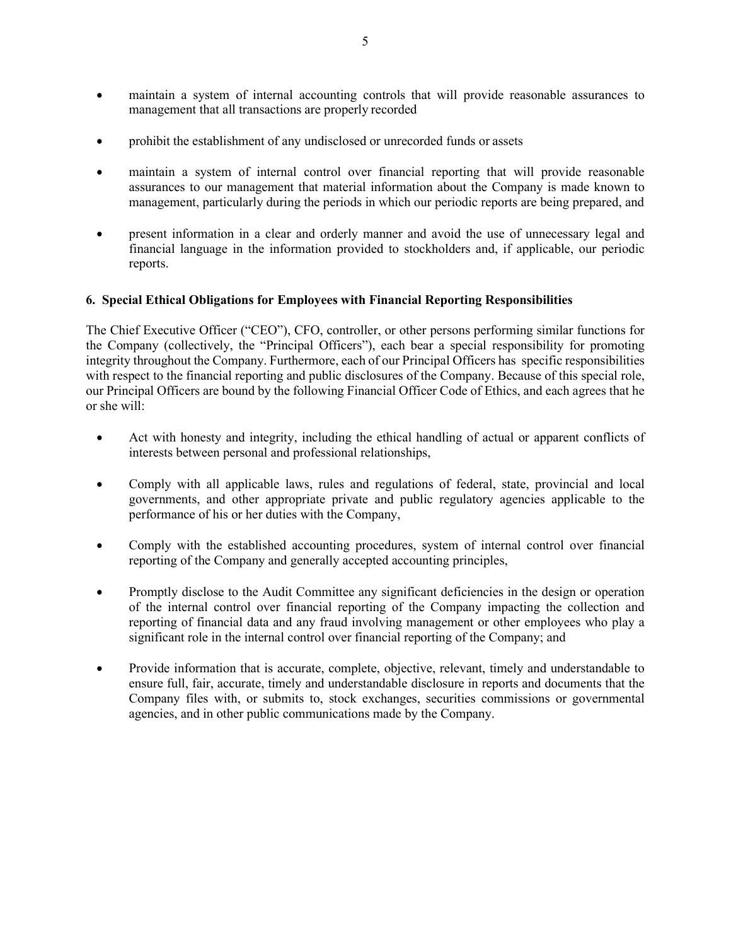- maintain a system of internal accounting controls that will provide reasonable assurances to management that all transactions are properly recorded
- prohibit the establishment of any undisclosed or unrecorded funds or assets
- maintain a system of internal control over financial reporting that will provide reasonable assurances to our management that material information about the Company is made known to management, particularly during the periods in which our periodic reports are being prepared, and
- present information in a clear and orderly manner and avoid the use of unnecessary legal and financial language in the information provided to stockholders and, if applicable, our periodic reports.

### **6. Special Ethical Obligations for Employees with Financial Reporting Responsibilities**

The Chief Executive Officer ("CEO"), CFO, controller, or other persons performing similar functions for the Company (collectively, the "Principal Officers"), each bear a special responsibility for promoting integrity throughout the Company. Furthermore, each of our Principal Officers has specific responsibilities with respect to the financial reporting and public disclosures of the Company. Because of this special role, our Principal Officers are bound by the following Financial Officer Code of Ethics, and each agrees that he or she will:

- Act with honesty and integrity, including the ethical handling of actual or apparent conflicts of interests between personal and professional relationships,
- Comply with all applicable laws, rules and regulations of federal, state, provincial and local governments, and other appropriate private and public regulatory agencies applicable to the performance of his or her duties with the Company,
- Comply with the established accounting procedures, system of internal control over financial reporting of the Company and generally accepted accounting principles,
- Promptly disclose to the Audit Committee any significant deficiencies in the design or operation of the internal control over financial reporting of the Company impacting the collection and reporting of financial data and any fraud involving management or other employees who play a significant role in the internal control over financial reporting of the Company; and
- Provide information that is accurate, complete, objective, relevant, timely and understandable to ensure full, fair, accurate, timely and understandable disclosure in reports and documents that the Company files with, or submits to, stock exchanges, securities commissions or governmental agencies, and in other public communications made by the Company.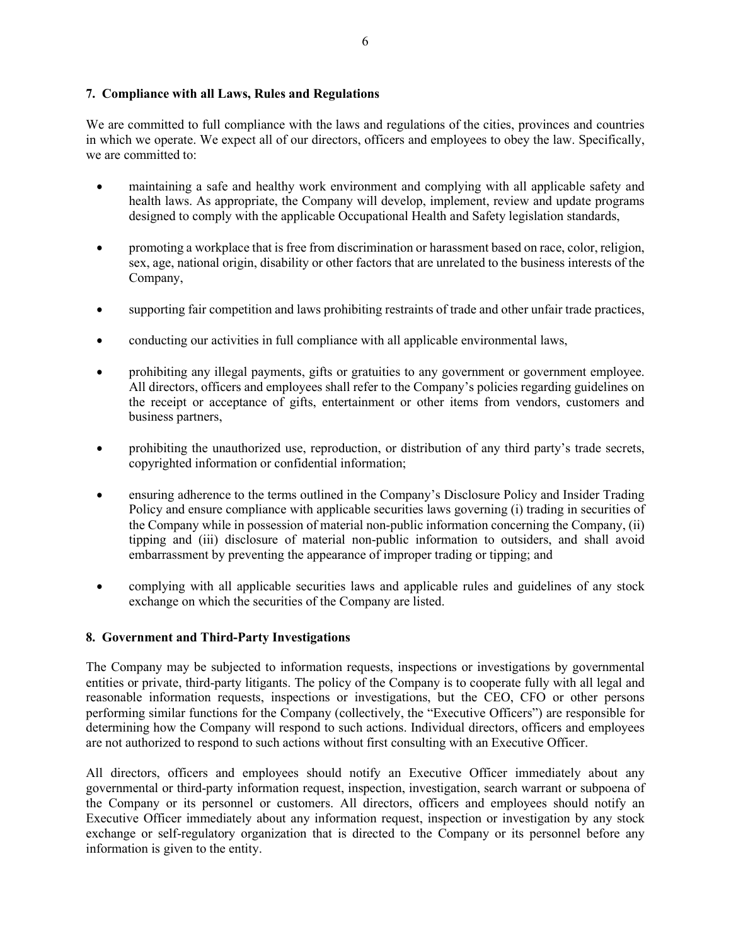### **7. Compliance with all Laws, Rules and Regulations**

We are committed to full compliance with the laws and regulations of the cities, provinces and countries in which we operate. We expect all of our directors, officers and employees to obey the law. Specifically, we are committed to:

- maintaining a safe and healthy work environment and complying with all applicable safety and health laws. As appropriate, the Company will develop, implement, review and update programs designed to comply with the applicable Occupational Health and Safety legislation standards,
- promoting a workplace that is free from discrimination or harassment based on race, color, religion, sex, age, national origin, disability or other factors that are unrelated to the business interests of the Company,
- supporting fair competition and laws prohibiting restraints of trade and other unfair trade practices,
- conducting our activities in full compliance with all applicable environmental laws,
- prohibiting any illegal payments, gifts or gratuities to any government or government employee. All directors, officers and employees shall refer to the Company's policies regarding guidelines on the receipt or acceptance of gifts, entertainment or other items from vendors, customers and business partners,
- prohibiting the unauthorized use, reproduction, or distribution of any third party's trade secrets, copyrighted information or confidential information;
- ensuring adherence to the terms outlined in the Company's Disclosure Policy and Insider Trading Policy and ensure compliance with applicable securities laws governing (i) trading in securities of the Company while in possession of material non-public information concerning the Company, (ii) tipping and (iii) disclosure of material non-public information to outsiders, and shall avoid embarrassment by preventing the appearance of improper trading or tipping; and
- complying with all applicable securities laws and applicable rules and guidelines of any stock exchange on which the securities of the Company are listed.

### **8. Government and Third-Party Investigations**

The Company may be subjected to information requests, inspections or investigations by governmental entities or private, third-party litigants. The policy of the Company is to cooperate fully with all legal and reasonable information requests, inspections or investigations, but the CEO, CFO or other persons performing similar functions for the Company (collectively, the "Executive Officers") are responsible for determining how the Company will respond to such actions. Individual directors, officers and employees are not authorized to respond to such actions without first consulting with an Executive Officer.

All directors, officers and employees should notify an Executive Officer immediately about any governmental or third-party information request, inspection, investigation, search warrant or subpoena of the Company or its personnel or customers. All directors, officers and employees should notify an Executive Officer immediately about any information request, inspection or investigation by any stock exchange or self-regulatory organization that is directed to the Company or its personnel before any information is given to the entity.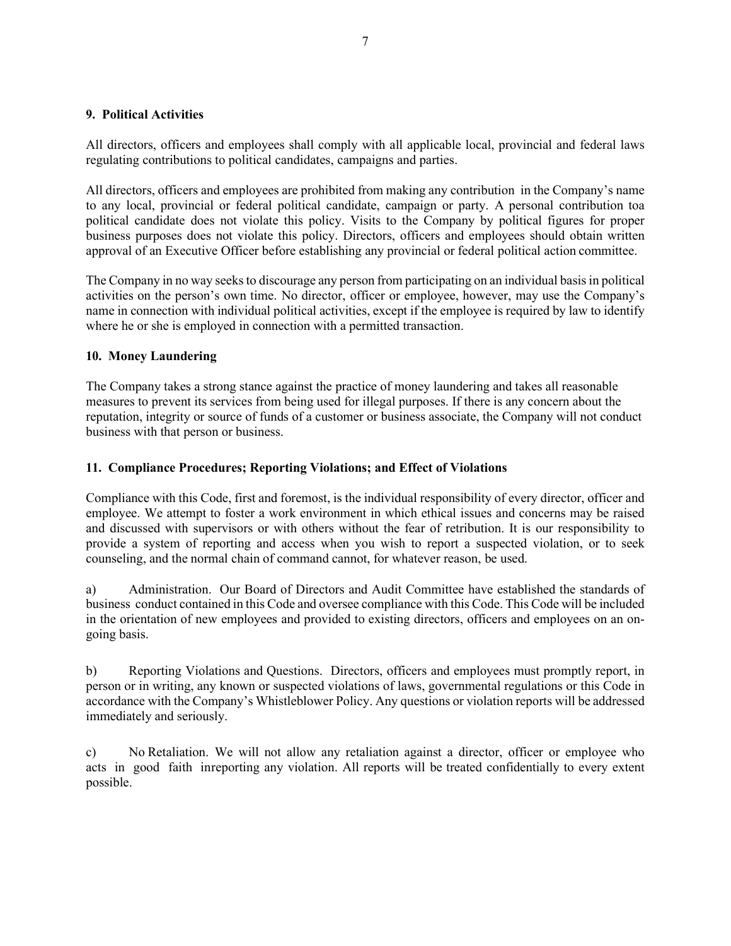#### **9. Political Activities**

All directors, officers and employees shall comply with all applicable local, provincial and federal laws regulating contributions to political candidates, campaigns and parties.

All directors, officers and employees are prohibited from making any contribution in the Company's name to any local, provincial or federal political candidate, campaign or party. A personal contribution toa political candidate does not violate this policy. Visits to the Company by political figures for proper business purposes does not violate this policy. Directors, officers and employees should obtain written approval of an Executive Officer before establishing any provincial or federal political action committee.

The Company in no way seeks to discourage any person from participating on an individual basis in political activities on the person's own time. No director, officer or employee, however, may use the Company's name in connection with individual political activities, except if the employee is required by law to identify where he or she is employed in connection with a permitted transaction.

#### **10. Money Laundering**

The Company takes a strong stance against the practice of money laundering and takes all reasonable measures to prevent its services from being used for illegal purposes. If there is any concern about the reputation, integrity or source of funds of a customer or business associate, the Company will not conduct business with that person or business.

#### **11. Compliance Procedures; Reporting Violations; and Effect of Violations**

Compliance with this Code, first and foremost, is the individual responsibility of every director, officer and employee. We attempt to foster a work environment in which ethical issues and concerns may be raised and discussed with supervisors or with others without the fear of retribution. It is our responsibility to provide a system of reporting and access when you wish to report a suspected violation, or to seek counseling, and the normal chain of command cannot, for whatever reason, be used.

a) Administration. Our Board of Directors and Audit Committee have established the standards of business conduct contained in this Code and oversee compliance with this Code. This Code will be included in the orientation of new employees and provided to existing directors, officers and employees on an ongoing basis.

b) Reporting Violations and Questions. Directors, officers and employees must promptly report, in person or in writing, any known or suspected violations of laws, governmental regulations or this Code in accordance with the Company's Whistleblower Policy. Any questions or violation reports will be addressed immediately and seriously.

c) No Retaliation. We will not allow any retaliation against a director, officer or employee who acts in good faith in reporting any violation. All reports will be treated confidentially to every extent possible.